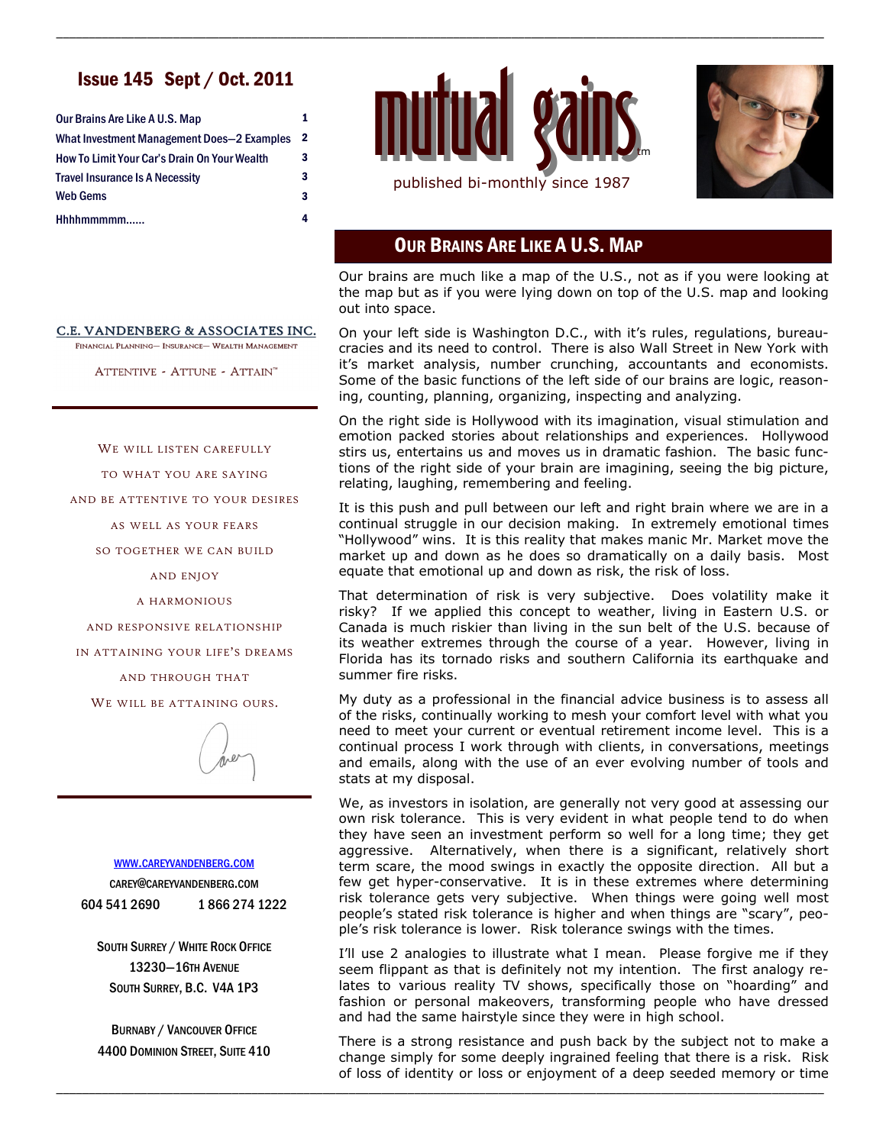## Issue 145 Sept / Oct. 2011

| Our Brains Are Like A U.S. Map               | 1 |
|----------------------------------------------|---|
| What Investment Management Does-2 Examples   | 2 |
| How To Limit Your Car's Drain On Your Wealth | 3 |
| <b>Travel Insurance Is A Necessity</b>       | 3 |
| <b>Web Gems</b>                              | 3 |
| Hhhhmmmmm                                    | 4 |



\_\_\_\_\_\_\_\_\_\_\_\_\_\_\_\_\_\_\_\_\_\_\_\_\_\_\_\_\_\_\_\_\_\_\_\_\_\_\_\_\_\_\_\_\_\_\_\_\_\_\_\_\_\_\_\_\_\_\_\_\_\_\_\_\_\_\_\_\_\_\_\_\_\_\_\_\_\_\_\_\_\_\_\_\_\_\_\_\_\_\_\_\_\_\_\_\_\_\_\_\_\_\_\_\_\_\_\_\_\_\_\_\_\_\_\_\_\_



# OUR BRAINS ARE LIKE A U.S. MAP

Our brains are much like a map of the U.S., not as if you were looking at the map but as if you were lying down on top of the U.S. map and looking out into space.

On your left side is Washington D.C., with it's rules, regulations, bureaucracies and its need to control. There is also Wall Street in New York with it's market analysis, number crunching, accountants and economists. Some of the basic functions of the left side of our brains are logic, reasoning, counting, planning, organizing, inspecting and analyzing.

On the right side is Hollywood with its imagination, visual stimulation and emotion packed stories about relationships and experiences. Hollywood stirs us, entertains us and moves us in dramatic fashion. The basic functions of the right side of your brain are imagining, seeing the big picture, relating, laughing, remembering and feeling.

It is this push and pull between our left and right brain where we are in a continual struggle in our decision making. In extremely emotional times "Hollywood" wins. It is this reality that makes manic Mr. Market move the market up and down as he does so dramatically on a daily basis. Most equate that emotional up and down as risk, the risk of loss.

That determination of risk is very subjective. Does volatility make it risky? If we applied this concept to weather, living in Eastern U.S. or Canada is much riskier than living in the sun belt of the U.S. because of its weather extremes through the course of a year. However, living in Florida has its tornado risks and southern California its earthquake and summer fire risks.

My duty as a professional in the financial advice business is to assess all of the risks, continually working to mesh your comfort level with what you need to meet your current or eventual retirement income level. This is a continual process I work through with clients, in conversations, meetings and emails, along with the use of an ever evolving number of tools and stats at my disposal.

We, as investors in isolation, are generally not very good at assessing our own risk tolerance. This is very evident in what people tend to do when they have seen an investment perform so well for a long time; they get aggressive. Alternatively, when there is a significant, relatively short term scare, the mood swings in exactly the opposite direction. All but a few get hyper-conservative. It is in these extremes where determining risk tolerance gets very subjective. When things were going well most people's stated risk tolerance is higher and when things are "scary", people's risk tolerance is lower. Risk tolerance swings with the times.

I'll use 2 analogies to illustrate what I mean. Please forgive me if they seem flippant as that is definitely not my intention. The first analogy relates to various reality TV shows, specifically those on "hoarding" and fashion or personal makeovers, transforming people who have dressed and had the same hairstyle since they were in high school.

There is a strong resistance and push back by the subject not to make a change simply for some deeply ingrained feeling that there is a risk. Risk of loss of identity or loss or enjoyment of a deep seeded memory or time

\_\_\_\_\_\_\_\_\_\_\_\_\_\_\_\_\_\_\_\_\_\_\_\_\_\_\_\_\_\_\_\_\_\_\_\_\_\_\_\_\_\_\_\_\_\_\_\_\_\_\_\_\_\_\_\_\_\_\_\_\_\_\_\_\_\_\_\_\_\_\_\_\_\_\_\_\_\_\_\_\_\_\_\_\_\_\_\_\_\_\_\_\_\_\_\_\_\_\_\_\_\_\_\_\_\_\_\_\_\_\_\_\_\_\_\_\_\_

C.E. VANDENBERG & ASSOCIATES INC.

FINANCIAL PLANNING- INSURANCE- WEALTH MANAGEMENT

ATTENTIVE - ATTUNE - ATTAIN™

WE WILL LISTEN CAREFULLY

TO WHAT YOU ARE SAYING

AND BE ATTENTIVE TO YOUR DESIRES

AS WELL AS YOUR FEARS

SO TOGETHER WE CAN BUILD

AND ENJOY

A HARMONIOUS

AND RESPONSIVE RELATIONSHIP

IN ATTAINING YOUR LIFE'S DREAMS

AND THROUGH THAT

WE WILL BE ATTAINING OURS.

#### WWW.[CAREYVANDENBERG](http://careyvandenberg.com).COM

CAREY@CAREYVANDENBERG.COM 604 541 2690 1 866 274 1222

SOUTH SURREY / WHITE ROCK OFFICE 13230—16TH AVENUE SOUTH SURREY, B.C. V4A 1P3

BURNABY / VANCOUVER OFFICE 4400 DOMINION STREET, SUITE 410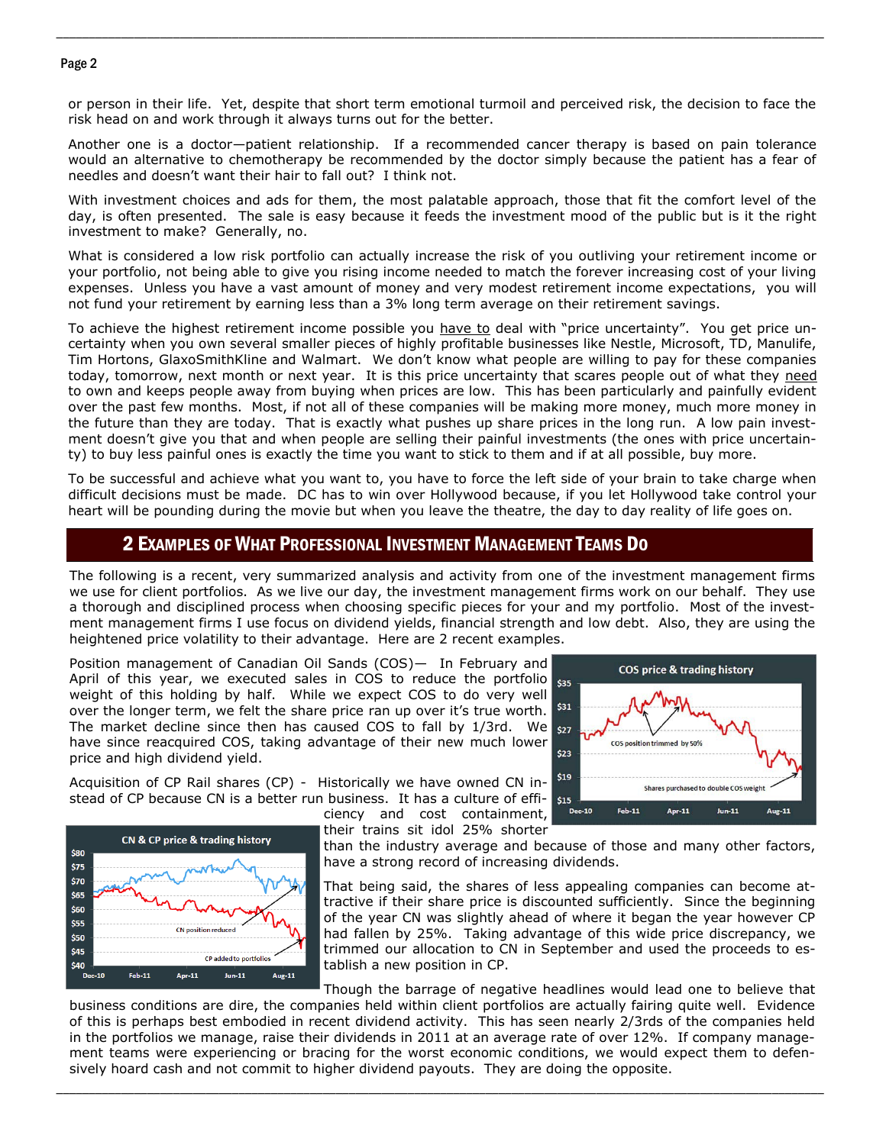#### Page 2

or person in their life. Yet, despite that short term emotional turmoil and perceived risk, the decision to face the risk head on and work through it always turns out for the better.

\_\_\_\_\_\_\_\_\_\_\_\_\_\_\_\_\_\_\_\_\_\_\_\_\_\_\_\_\_\_\_\_\_\_\_\_\_\_\_\_\_\_\_\_\_\_\_\_\_\_\_\_\_\_\_\_\_\_\_\_\_\_\_\_\_\_\_\_\_\_\_\_\_\_\_\_\_\_\_\_\_\_\_\_\_\_\_\_\_\_\_\_\_\_\_\_\_\_\_\_\_\_\_\_\_\_\_\_\_\_\_\_\_\_\_\_\_\_

Another one is a doctor—patient relationship. If a recommended cancer therapy is based on pain tolerance would an alternative to chemotherapy be recommended by the doctor simply because the patient has a fear of needles and doesn't want their hair to fall out? I think not.

With investment choices and ads for them, the most palatable approach, those that fit the comfort level of the day, is often presented. The sale is easy because it feeds the investment mood of the public but is it the right investment to make? Generally, no.

What is considered a low risk portfolio can actually increase the risk of you outliving your retirement income or your portfolio, not being able to give you rising income needed to match the forever increasing cost of your living expenses. Unless you have a vast amount of money and very modest retirement income expectations, you will not fund your retirement by earning less than a 3% long term average on their retirement savings.

To achieve the highest retirement income possible you have to deal with "price uncertainty". You get price uncertainty when you own several smaller pieces of highly profitable businesses like Nestle, Microsoft, TD, Manulife, Tim Hortons, GlaxoSmithKline and Walmart. We don't know what people are willing to pay for these companies today, tomorrow, next month or next year. It is this price uncertainty that scares people out of what they need to own and keeps people away from buying when prices are low. This has been particularly and painfully evident over the past few months. Most, if not all of these companies will be making more money, much more money in the future than they are today. That is exactly what pushes up share prices in the long run. A low pain investment doesn't give you that and when people are selling their painful investments (the ones with price uncertainty) to buy less painful ones is exactly the time you want to stick to them and if at all possible, buy more.

To be successful and achieve what you want to, you have to force the left side of your brain to take charge when difficult decisions must be made. DC has to win over Hollywood because, if you let Hollywood take control your heart will be pounding during the movie but when you leave the theatre, the day to day reality of life goes on.

### 2 EXAMPLES OF WHAT PROFESSIONAL INVESTMENT MANAGEMENT TEAMS DO

The following is a recent, very summarized analysis and activity from one of the investment management firms we use for client portfolios. As we live our day, the investment management firms work on our behalf. They use a thorough and disciplined process when choosing specific pieces for your and my portfolio. Most of the investment management firms I use focus on dividend yields, financial strength and low debt. Also, they are using the heightened price volatility to their advantage. Here are 2 recent examples.

Position management of Canadian Oil Sands (COS)— In February and April of this year, we executed sales in COS to reduce the portfolio  $\frac{1}{535}$ weight of this holding by half. While we expect COS to do very well over the longer term, we felt the share price ran up over it's true worth. The market decline since then has caused COS to fall by  $1/3$ rd. We  $_{527}$ have since reacquired COS, taking advantage of their new much lower price and high dividend yield.

Acquisition of CP Rail shares (CP) - Historically we have owned CN instead of CP because CN is a better run business. It has a culture of effi-





That being said, the shares of less appealing companies can become attractive if their share price is discounted sufficiently. Since the beginning of the year CN was slightly ahead of where it began the year however CP had fallen by 25%. Taking advantage of this wide price discrepancy, we trimmed our allocation to CN in September and used the proceeds to establish a new position in CP.

Though the barrage of negative headlines would lead one to believe that

business conditions are dire, the companies held within client portfolios are actually fairing quite well. Evidence of this is perhaps best embodied in recent dividend activity. This has seen nearly 2/3rds of the companies held in the portfolios we manage, raise their dividends in 2011 at an average rate of over 12%. If company management teams were experiencing or bracing for the worst economic conditions, we would expect them to defensively hoard cash and not commit to higher dividend payouts. They are doing the opposite.

\_\_\_\_\_\_\_\_\_\_\_\_\_\_\_\_\_\_\_\_\_\_\_\_\_\_\_\_\_\_\_\_\_\_\_\_\_\_\_\_\_\_\_\_\_\_\_\_\_\_\_\_\_\_\_\_\_\_\_\_\_\_\_\_\_\_\_\_\_\_\_\_\_\_\_\_\_\_\_\_\_\_\_\_\_\_\_\_\_\_\_\_\_\_\_\_\_\_\_\_\_\_\_\_\_\_\_\_\_\_\_\_\_\_\_\_\_\_



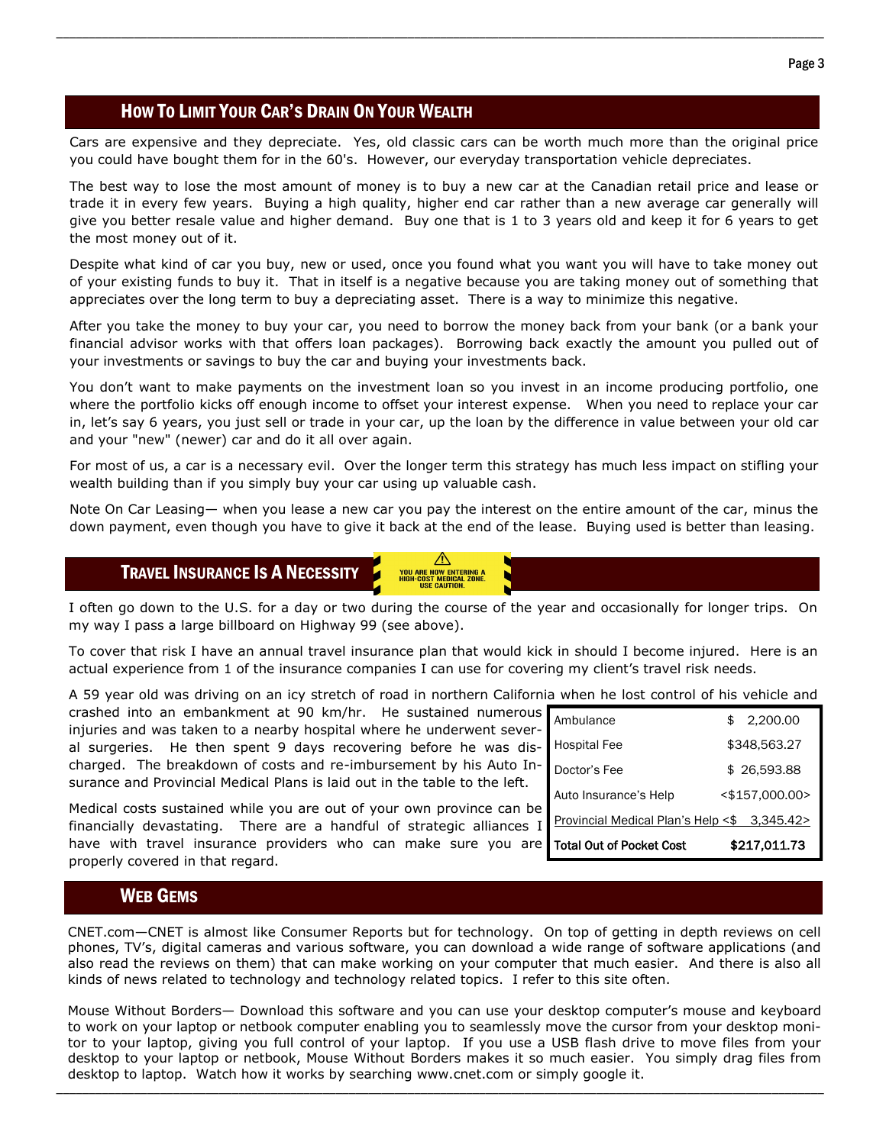## HOW TO LIMIT YOUR CAR'S DRAIN ON YOUR WEALTH

Cars are expensive and they depreciate. Yes, old classic cars can be worth much more than the original price you could have bought them for in the 60's. However, our everyday transportation vehicle depreciates.

\_\_\_\_\_\_\_\_\_\_\_\_\_\_\_\_\_\_\_\_\_\_\_\_\_\_\_\_\_\_\_\_\_\_\_\_\_\_\_\_\_\_\_\_\_\_\_\_\_\_\_\_\_\_\_\_\_\_\_\_\_\_\_\_\_\_\_\_\_\_\_\_\_\_\_\_\_\_\_\_\_\_\_\_\_\_\_\_\_\_\_\_\_\_\_\_\_\_\_\_\_\_\_\_\_\_\_\_\_\_\_\_\_\_\_\_\_\_

The best way to lose the most amount of money is to buy a new car at the Canadian retail price and lease or trade it in every few years. Buying a high quality, higher end car rather than a new average car generally will give you better resale value and higher demand. Buy one that is 1 to 3 years old and keep it for 6 years to get the most money out of it.

Despite what kind of car you buy, new or used, once you found what you want you will have to take money out of your existing funds to buy it. That in itself is a negative because you are taking money out of something that appreciates over the long term to buy a depreciating asset. There is a way to minimize this negative.

After you take the money to buy your car, you need to borrow the money back from your bank (or a bank your financial advisor works with that offers loan packages). Borrowing back exactly the amount you pulled out of your investments or savings to buy the car and buying your investments back.

You don't want to make payments on the investment loan so you invest in an income producing portfolio, one where the portfolio kicks off enough income to offset your interest expense. When you need to replace your car in, let's say 6 years, you just sell or trade in your car, up the loan by the difference in value between your old car and your "new" (newer) car and do it all over again.

For most of us, a car is a necessary evil. Over the longer term this strategy has much less impact on stifling your wealth building than if you simply buy your car using up valuable cash.

Note On Car Leasing— when you lease a new car you pay the interest on the entire amount of the car, minus the down payment, even though you have to give it back at the end of the lease. Buying used is better than leasing.

## TRAVEL INSURANCE IS A NECESSITY

I often go down to the U.S. for a day or two during the course of the year and occasionally for longer trips. On my way I pass a large billboard on Highway 99 (see above).

**YOU ARE NOW ENTERING A**<br>HIGH-COST MEDICAL ZONE **COST MEDICAL<br>USE CAUTION.** 

To cover that risk I have an annual travel insurance plan that would kick in should I become injured. Here is an actual experience from 1 of the insurance companies I can use for covering my client's travel risk needs.

A 59 year old was driving on an icy stretch of road in northern California when he lost control of his vehicle and

crashed into an embankment at 90 km/hr. He sustained numerous injuries and was taken to a nearby hospital where he underwent several surgeries. He then spent 9 days recovering before he was discharged. The breakdown of costs and re-imbursement by his Auto Insurance and Provincial Medical Plans is laid out in the table to the left.

Medical costs sustained while you are out of your own province can be financially devastating. There are a handful of strategic alliances I have with travel insurance providers who can make sure you are properly covered in that regard.

| Ambulance                                    | \$<br>2.200.00    |
|----------------------------------------------|-------------------|
| Hospital Fee                                 | \$348,563.27      |
| Doctor's Fee                                 | \$26,593,88       |
| Auto Insurance's Help                        | $<$ \$157.000.00> |
| Provincial Medical Plan's Help <\$ 3,345.42> |                   |
| <b>Total Out of Pocket Cost</b>              | \$217.011.73      |

## WEB GEMS

CNET.com—CNET is almost like Consumer Reports but for technology. On top of getting in depth reviews on cell phones, TV's, digital cameras and various software, you can download a wide range of software applications (and also read the reviews on them) that can make working on your computer that much easier. And there is also all kinds of news related to technology and technology related topics. I refer to this site often.

Mouse Without Borders— Download this software and you can use your desktop computer's mouse and keyboard to work on your laptop or netbook computer enabling you to seamlessly move the cursor from your desktop monitor to your laptop, giving you full control of your laptop. If you use a USB flash drive to move files from your desktop to your laptop or netbook, Mouse Without Borders makes it so much easier. You simply drag files from desktop to laptop. Watch how it works by searching www.cnet.com or simply google it.

\_\_\_\_\_\_\_\_\_\_\_\_\_\_\_\_\_\_\_\_\_\_\_\_\_\_\_\_\_\_\_\_\_\_\_\_\_\_\_\_\_\_\_\_\_\_\_\_\_\_\_\_\_\_\_\_\_\_\_\_\_\_\_\_\_\_\_\_\_\_\_\_\_\_\_\_\_\_\_\_\_\_\_\_\_\_\_\_\_\_\_\_\_\_\_\_\_\_\_\_\_\_\_\_\_\_\_\_\_\_\_\_\_\_\_\_\_\_